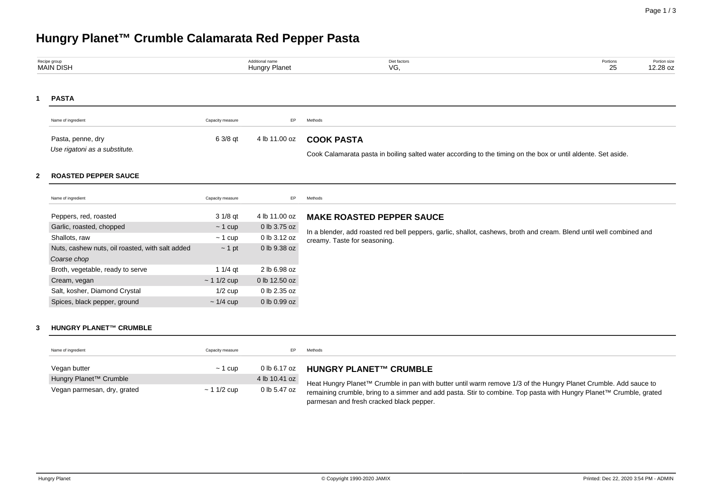# **Hungry Planet™ Crumble Calamarata Red Pepper Pasta**

Vegan parmesan, dry, grated  $\sim 1$  1/2 cup 0 lb 5.47 oz

| Recipe group<br><b>MAIN DISH</b> |                                                                                                                                                                                                                                                                                            | Additional name<br><b>Hungry Planet</b>                                                                              |                                                                                                                                | Diet factors<br>Portions<br>VG,<br>25                                                                                                                                                    | Portion size<br>12.28 oz |
|----------------------------------|--------------------------------------------------------------------------------------------------------------------------------------------------------------------------------------------------------------------------------------------------------------------------------------------|----------------------------------------------------------------------------------------------------------------------|--------------------------------------------------------------------------------------------------------------------------------|------------------------------------------------------------------------------------------------------------------------------------------------------------------------------------------|--------------------------|
| 1                                | <b>PASTA</b>                                                                                                                                                                                                                                                                               |                                                                                                                      |                                                                                                                                |                                                                                                                                                                                          |                          |
|                                  | Name of ingredient                                                                                                                                                                                                                                                                         | Capacity measure                                                                                                     | EP                                                                                                                             | Methods                                                                                                                                                                                  |                          |
|                                  | Pasta, penne, dry<br>Use rigatoni as a substitute.                                                                                                                                                                                                                                         | 6 3/8 qt                                                                                                             | 4 lb 11.00 oz                                                                                                                  | <b>COOK PASTA</b><br>Cook Calamarata pasta in boiling salted water according to the timing on the box or until aldente. Set aside.                                                       |                          |
| $\mathbf{2}$                     | <b>ROASTED PEPPER SAUCE</b>                                                                                                                                                                                                                                                                |                                                                                                                      |                                                                                                                                |                                                                                                                                                                                          |                          |
|                                  | Name of ingredient                                                                                                                                                                                                                                                                         | Capacity measure                                                                                                     | EP                                                                                                                             | Methods                                                                                                                                                                                  |                          |
| 3                                | Peppers, red, roasted<br>Garlic, roasted, chopped<br>Shallots, raw<br>Nuts, cashew nuts, oil roasted, with salt added<br>Coarse chop<br>Broth, vegetable, ready to serve<br>Cream, vegan<br>Salt, kosher, Diamond Crystal<br>Spices, black pepper, ground<br><b>HUNGRY PLANET™ CRUMBLE</b> | $31/8$ qt<br>$\sim$ 1 cup<br>$\sim$ 1 cup<br>$\sim$ 1 pt<br>1 $1/4$ qt<br>$~11/2$ cup<br>$1/2$ cup<br>$\sim$ 1/4 cup | 4 lb 11.00 oz<br>0 lb 3.75 oz<br>0 lb 3.12 oz<br>0 lb 9.38 oz<br>2 lb 6.98 oz<br>0 lb 12.50 oz<br>0 lb 2.35 oz<br>0 lb 0.99 oz | <b>MAKE ROASTED PEPPER SAUCE</b><br>In a blender, add roasted red bell peppers, garlic, shallot, cashews, broth and cream. Blend until well combined and<br>creamy. Taste for seasoning. |                          |
|                                  | Name of ingredient                                                                                                                                                                                                                                                                         | Capacity measure                                                                                                     | EP                                                                                                                             | Methods                                                                                                                                                                                  |                          |
|                                  | Vegan butter<br>Hungry Planet <sup>™</sup> Crumble                                                                                                                                                                                                                                         | $\sim$ 1 cup                                                                                                         | 0 lb 6.17 oz<br>4 lb 10.41 oz                                                                                                  | <b>HUNGRY PLANET™ CRUMBLE</b><br>Heat Hungry Planet <sup>TM</sup> Crumble in nan with butter until warm remove 1/3 of the Hungry Planet Crumble, Add sauce to                            |                          |

Heat Hungry Planet™ Crumble in pan with butter until warm remove 1/3 of the Hungry Planet Crumble. Add sauce to remaining crumble, bring to a simmer and add pasta. Stir to combine. Top pasta with Hungry Planet™ Crumble, grated parmesan and fresh cracked black pepper.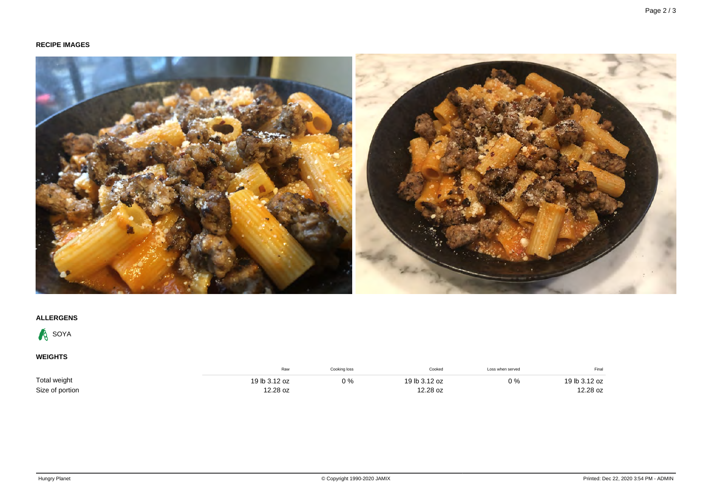## **RECIPE IMAGES**



## **ALLERGENS**



**WEIGHTS**

|                 | Raw           | Cooking loss | Cooked        | Loss when served | Final         |
|-----------------|---------------|--------------|---------------|------------------|---------------|
| Total weight    | 19 lb 3.12 oz | $0\%$        | 19 lb 3.12 oz | $0\%$            | 19 lb 3.12 oz |
| Size of portion | 12.28 oz      |              | 12.28 oz      |                  | 12.28 oz      |